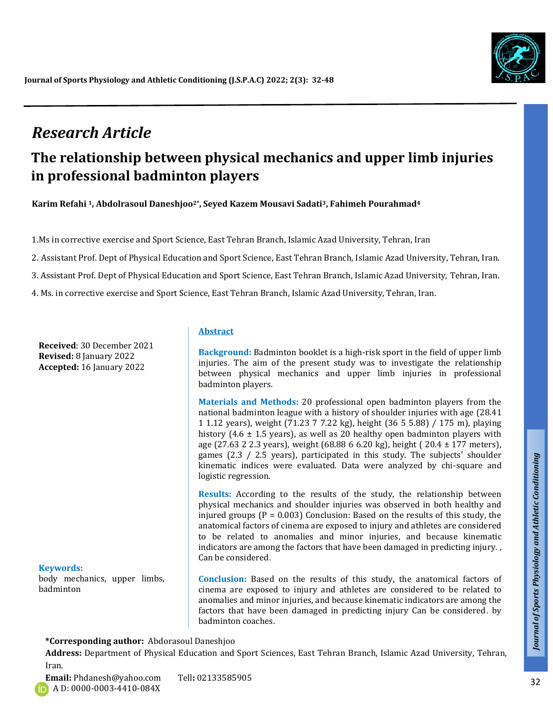

# *Research Article*

# **The relationship between physical mechanics and upper limb injuries in professional badminton players**

**Karim Refahi 1, Abdolrasoul Daneshjoo2\*, Seyed Kazem Mousavi Sadati3, Fahimeh Pourahmad<sup>4</sup>**

1.Ms in corrective exercise and Sport Science, East Tehran Branch, Islamic Azad University, Tehran, Iran

2. Assistant Prof. Dept of Physical Education and Sport Science, East Tehran Branch, Islamic Azad University, Tehran, Iran.

3. Assistant Prof. Dept of Physical Education and Sport Science, East Tehran Branch, Islamic Azad University, Tehran, Iran.

4. Ms. in corrective exercise and Sport Science, East Tehran Branch, Islamic Azad University, Tehran, Iran.

**Received**: 30 December 2021 **Revised:** 8 January 2022 **Accepted:** 16 January 2022

#### **Keywords:**

body mechanics, upper limbs, badminton

#### **Abstract**

**Background:** Badminton booklet is a high-risk sport in the field of upper limb injuries. The aim of the present study was to investigate the relationship between physical mechanics and upper limb injuries in professional badminton players.

**Materials and Methods:** 20 professional open badminton players from the national badminton league with a history of shoulder injuries with age (28.41 1 1.12 years), weight (71.23 7 7.22 kg), height (36 5 5.88) / 175 m), playing history (4.6  $\pm$  1.5 years), as well as 20 healthy open badminton players with age (27.63 2 2.3 years), weight (68.88 6 6.20 kg), height ( 20.4 ± 177 meters), games (2.3 / 2.5 years), participated in this study. The subjects' shoulder kinematic indices were evaluated. Data were analyzed by chi-square and logistic regression.

**Results:** According to the results of the study, the relationship between physical mechanics and shoulder injuries was observed in both healthy and injured groups ( $P = 0.003$ ) Conclusion: Based on the results of this study, the anatomical factors of cinema are exposed to injury and athletes are considered to be related to anomalies and minor injuries, and because kinematic indicators are among the factors that have been damaged in predicting injury. , Can be considered. games (2.3 / 2.5 years), participated in this study. The subjects' shoulder<br>kinematic indices were evaluated. Data were analyzed by chi-square and<br>logistic regression.<br>**Results:** According to the results of the study, the

**Conclusion:** Based on the results of this study, the anatomical factors of cinema are exposed to injury and athletes are considered to be related to anomalies and minor injuries, and because kinematic indicators are among the factors that have been damaged in predicting injury Can be considered. by

#### **\*Corresponding author:** Abdorasoul Daneshjoo

**Address:** Department of Physical Education and Sport Sciences, East Tehran Branch, Islamic Azad University, Tehran, Iran.

*Talk*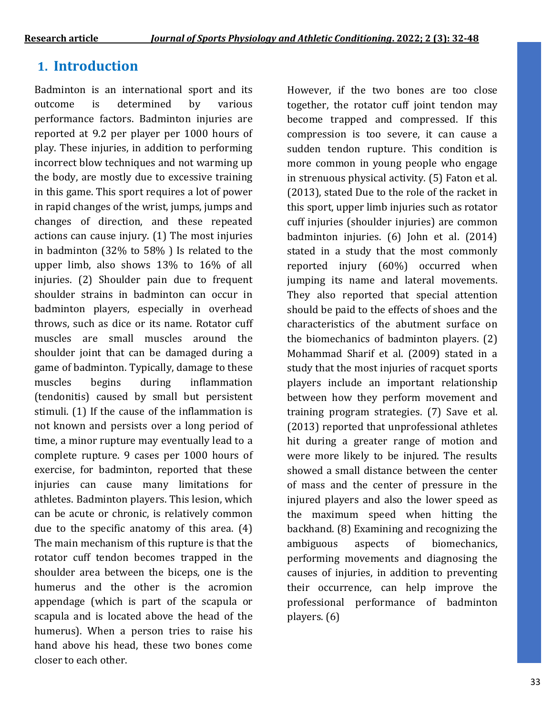# **1. Introduction**

Badminton is an international sport and its outcome is determined by various performance factors. Badminton injuries are reported at 9.2 per player per 1000 hours of play. These injuries, in addition to performing incorrect blow techniques and not warming up the body, are mostly due to excessive training in this game. This sport requires a lot of power in rapid changes of the wrist, jumps, jumps and changes of direction, and these repeated actions can cause injury. (1) The most injuries in badminton (32% to 58% ) Is related to the upper limb, also shows 13% to 16% of all injuries. (2) Shoulder pain due to frequent shoulder strains in badminton can occur in badminton players, especially in overhead throws, such as dice or its name. Rotator cuff muscles are small muscles around the shoulder joint that can be damaged during a game of badminton. Typically, damage to these muscles begins during inflammation (tendonitis) caused by small but persistent stimuli. (1) If the cause of the inflammation is not known and persists over a long period of time, a minor rupture may eventually lead to a complete rupture. 9 cases per 1000 hours of exercise, for badminton, reported that these injuries can cause many limitations for athletes. Badminton players. This lesion, which can be acute or chronic, is relatively common due to the specific anatomy of this area. (4) The main mechanism of this rupture is that the rotator cuff tendon becomes trapped in the shoulder area between the biceps, one is the humerus and the other is the acromion appendage (which is part of the scapula or scapula and is located above the head of the humerus). When a person tries to raise his hand above his head, these two bones come closer to each other.

However, if the two bones are too close together, the rotator cuff joint tendon may become trapped and compressed. If this compression is too severe, it can cause a sudden tendon rupture. This condition is more common in young people who engage in strenuous physical activity. (5) Faton et al. (2013), stated Due to the role of the racket in this sport, upper limb injuries such as rotator cuff injuries (shoulder injuries) are common badminton injuries. (6) John et al. (2014) stated in a study that the most commonly reported injury (60%) occurred when jumping its name and lateral movements. They also reported that special attention should be paid to the effects of shoes and the characteristics of the abutment surface on the biomechanics of badminton players. (2) Mohammad Sharif et al. (2009) stated in a study that the most injuries of racquet sports players include an important relationship between how they perform movement and training program strategies. (7) Save et al. (2013) reported that unprofessional athletes hit during a greater range of motion and were more likely to be injured. The results showed a small distance between the center of mass and the center of pressure in the injured players and also the lower speed as the maximum speed when hitting the backhand. (8) Examining and recognizing the ambiguous aspects of biomechanics, performing movements and diagnosing the causes of injuries, in addition to preventing their occurrence, can help improve the professional performance of badminton players. (6)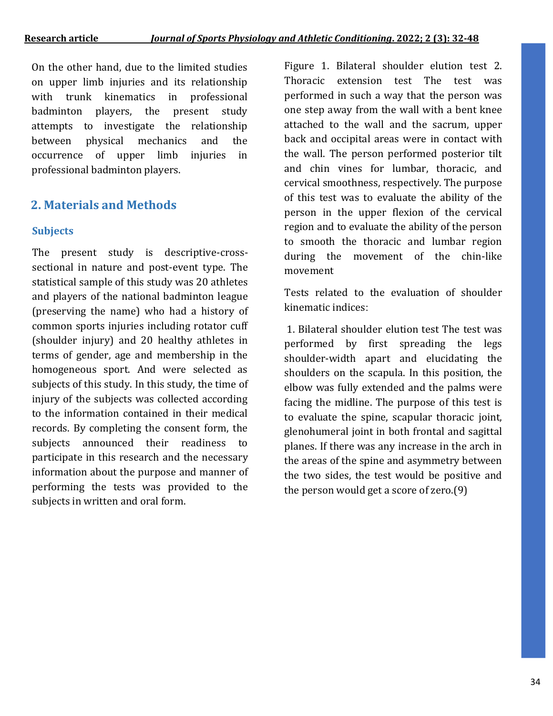On the other hand, due to the limited studies on upper limb injuries and its relationship with trunk kinematics in professional badminton players, the present study attempts to investigate the relationship between physical mechanics and the occurrence of upper limb injuries in professional badminton players.

## **2. Materials and Methods**

## **Subjects**

The present study is descriptive-crosssectional in nature and post-event type. The statistical sample of this study was 20 athletes and players of the national badminton league (preserving the name) who had a history of common sports injuries including rotator cuff (shoulder injury) and 20 healthy athletes in terms of gender, age and membership in the homogeneous sport. And were selected as subjects of this study. In this study, the time of injury of the subjects was collected according to the information contained in their medical records. By completing the consent form, the subjects announced their readiness to participate in this research and the necessary information about the purpose and manner of performing the tests was provided to the subjects in written and oral form.

Figure 1. Bilateral shoulder elution test 2. Thoracic extension test The test was performed in such a way that the person was one step away from the wall with a bent knee attached to the wall and the sacrum, upper back and occipital areas were in contact with the wall. The person performed posterior tilt and chin vines for lumbar, thoracic, and cervical smoothness, respectively. The purpose of this test was to evaluate the ability of the person in the upper flexion of the cervical region and to evaluate the ability of the person to smooth the thoracic and lumbar region during the movement of the chin-like movement

Tests related to the evaluation of shoulder kinematic indices:

1. Bilateral shoulder elution test The test was performed by first spreading the legs shoulder-width apart and elucidating the shoulders on the scapula. In this position, the elbow was fully extended and the palms were facing the midline. The purpose of this test is to evaluate the spine, scapular thoracic joint, glenohumeral joint in both frontal and sagittal planes. If there was any increase in the arch in the areas of the spine and asymmetry between the two sides, the test would be positive and the person would get a score of zero.(9)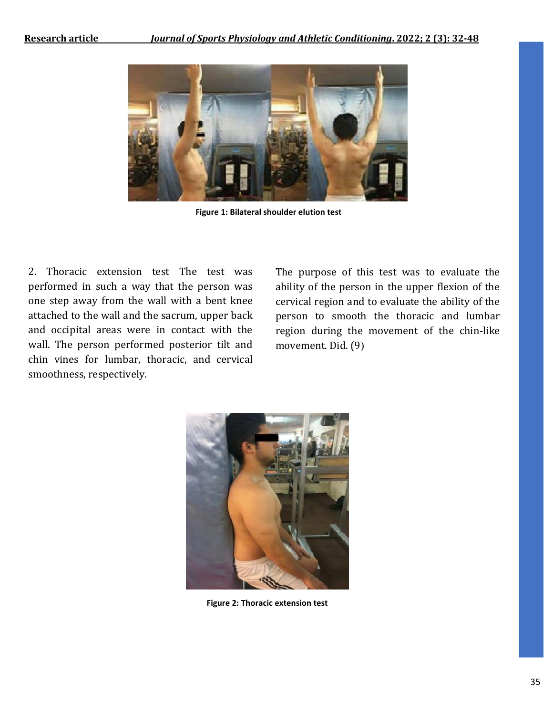

**Figure 1: Bilateral shoulder elution test**

2. Thoracic extension test The test was performed in such a way that the person was one step away from the wall with a bent knee attached to the wall and the sacrum, upper back and occipital areas were in contact with the wall. The person performed posterior tilt and chin vines for lumbar, thoracic, and cervical smoothness, respectively.

The purpose of this test was to evaluate the ability of the person in the upper flexion of the cervical region and to evaluate the ability of the person to smooth the thoracic and lumbar region during the movement of the chin-like movement. Did. (9)



**Figure 2: Thoracic extension test**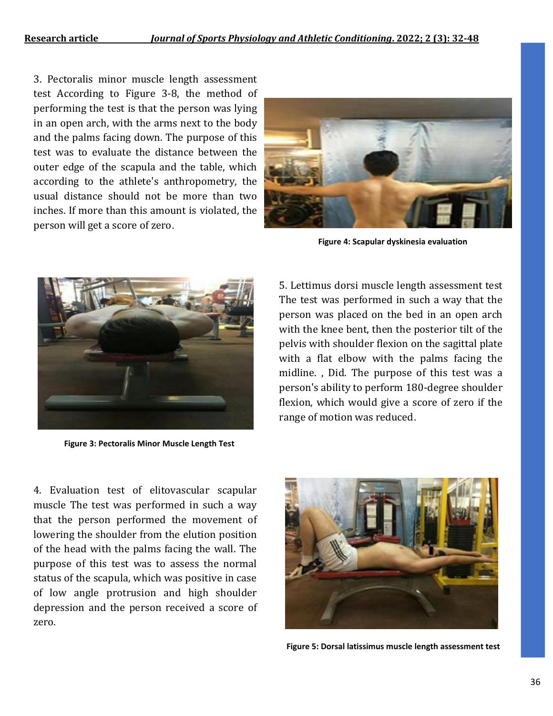3. Pectoralis minor muscle length assessment test According to Figure 3-8, the method of performing the test is that the person was lying in an open arch, with the arms next to the body and the palms facing down. The purpose of this test was to evaluate the distance between the outer edge of the scapula and the table, which according to the athlete's anthropometry, the usual distance should not be more than two inches. If more than this amount is violated, the person will get a score of zero.



**Figure 4: Scapular dyskinesia evaluation**



**Figure 3: Pectoralis Minor Muscle Length Test**

5. Lettimus dorsi muscle length assessment test The test was performed in such a way that the person was placed on the bed in an open arch with the knee bent, then the posterior tilt of the pelvis with shoulder flexion on the sagittal plate with a flat elbow with the palms facing the midline. , Did. The purpose of this test was a person's ability to perform 180-degree shoulder flexion, which would give a score of zero if the range of motion was reduced.

 zero. 4. Evaluation test of elitovascular scapular muscle The test was performed in such a way that the person performed the movement of lowering the shoulder from the elution position of the head with the palms facing the wall. The purpose of this test was to assess the normal status of the scapula, which was positive in case of low angle protrusion and high shoulder depression and the person received a score of



**Figure 5: Dorsal latissimus muscle length assessment test**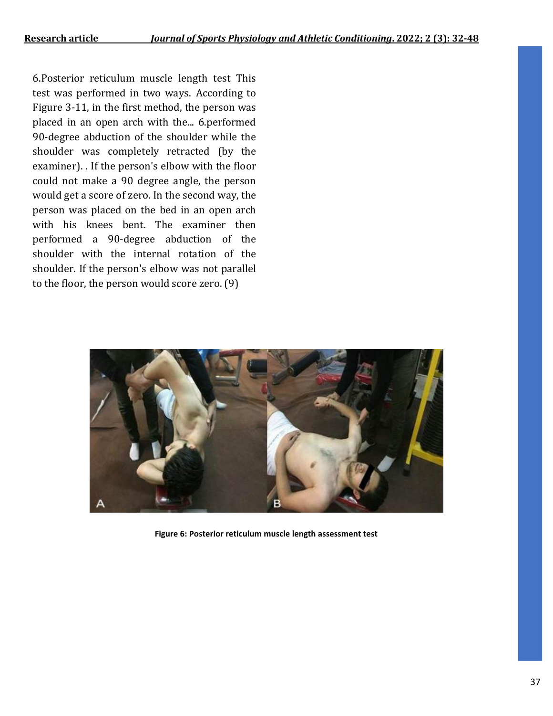6.Posterior reticulum muscle length test This test was performed in two ways. According to Figure 3-11, in the first method, the person was placed in an open arch with the... 6.performed 90-degree abduction of the shoulder while the shoulder was completely retracted (by the examiner). . If the person's elbow with the floor could not make a 90 degree angle, the person would get a score of zero. In the second way, the person was placed on the bed in an open arch with his knees bent. The examiner then performed a 90-degree abduction of the shoulder with the internal rotation of the shoulder. If the person's elbow was not parallel to the floor, the person would score zero. (9)



**Figure 6: Posterior reticulum muscle length assessment test**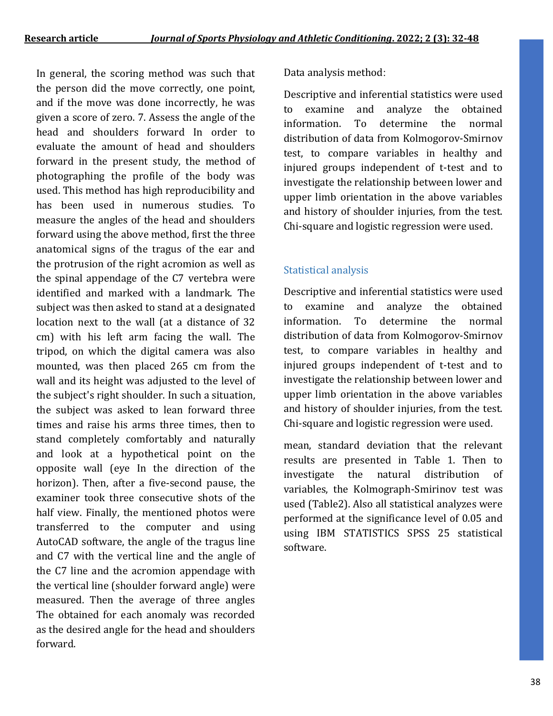In general, the scoring method was such that the person did the move correctly, one point, and if the move was done incorrectly, he was given a score of zero. 7. Assess the angle of the head and shoulders forward In order to evaluate the amount of head and shoulders forward in the present study, the method of photographing the profile of the body was used. This method has high reproducibility and has been used in numerous studies. To measure the angles of the head and shoulders forward using the above method, first the three anatomical signs of the tragus of the ear and the protrusion of the right acromion as well as the spinal appendage of the C7 vertebra were identified and marked with a landmark. The subject was then asked to stand at a designated location next to the wall (at a distance of 32 cm) with his left arm facing the wall. The tripod, on which the digital camera was also mounted, was then placed 265 cm from the wall and its height was adjusted to the level of the subject's right shoulder. In such a situation, the subject was asked to lean forward three times and raise his arms three times, then to stand completely comfortably and naturally and look at a hypothetical point on the opposite wall (eye In the direction of the horizon). Then, after a five-second pause, the examiner took three consecutive shots of the half view. Finally, the mentioned photos were transferred to the computer and using AutoCAD software, the angle of the tragus line and C7 with the vertical line and the angle of the C7 line and the acromion appendage with the vertical line (shoulder forward angle) were measured. Then the average of three angles The obtained for each anomaly was recorded as the desired angle for the head and shoulders forward.

### Data analysis method:

Descriptive and inferential statistics were used to examine and analyze the obtained information. To determine the normal distribution of data from Kolmogorov-Smirnov test, to compare variables in healthy and injured groups independent of t-test and to investigate the relationship between lower and upper limb orientation in the above variables and history of shoulder injuries, from the test. Chi-square and logistic regression were used.

## Statistical analysis

Descriptive and inferential statistics were used to examine and analyze the obtained information. To determine the normal distribution of data from Kolmogorov-Smirnov test, to compare variables in healthy and injured groups independent of t-test and to investigate the relationship between lower and upper limb orientation in the above variables and history of shoulder injuries, from the test. Chi-square and logistic regression were used.

mean, standard deviation that the relevant results are presented in Table 1. Then to investigate the natural distribution of variables, the Kolmograph-Smirinov test was used (Table2). Also all statistical analyzes were performed at the significance level of 0.05 and using IBM STATISTICS SPSS 25 statistical software.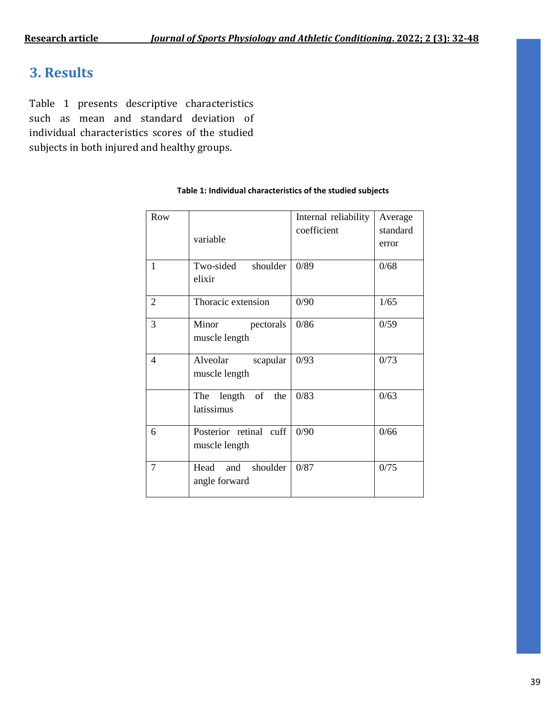# **3. Results**

Table 1 presents descriptive characteristics such as mean and standard deviation of individual characteristics scores of the studied subjects in both injured and healthy groups.

| Row            |                        | Internal reliability | Average  |
|----------------|------------------------|----------------------|----------|
|                |                        | coefficient          | standard |
|                | variable               |                      | error    |
|                |                        |                      |          |
| 1              | Two-sided<br>shoulder  | 0/89                 | 0/68     |
|                | elixir                 |                      |          |
| $\overline{2}$ | Thoracic extension     | 0/90                 | 1/65     |
| 3              | Minor<br>pectorals     | 0/86                 | 0/59     |
|                | muscle length          |                      |          |
|                |                        |                      |          |
| 4              | Alveolar<br>scapular   | 0/93                 | 0/73     |
|                | muscle length          |                      |          |
|                |                        |                      |          |
|                | The length of the      | 0/83                 | 0/63     |
|                | latissimus             |                      |          |
| 6              | Posterior retinal cuff | 0/90                 | 0/66     |
|                |                        |                      |          |
|                | muscle length          |                      |          |
| 7              | Head and<br>shoulder   | 0/87                 | 0/75     |
|                | angle forward          |                      |          |
|                |                        |                      |          |

#### **Table 1: Individual characteristics of the studied subjects**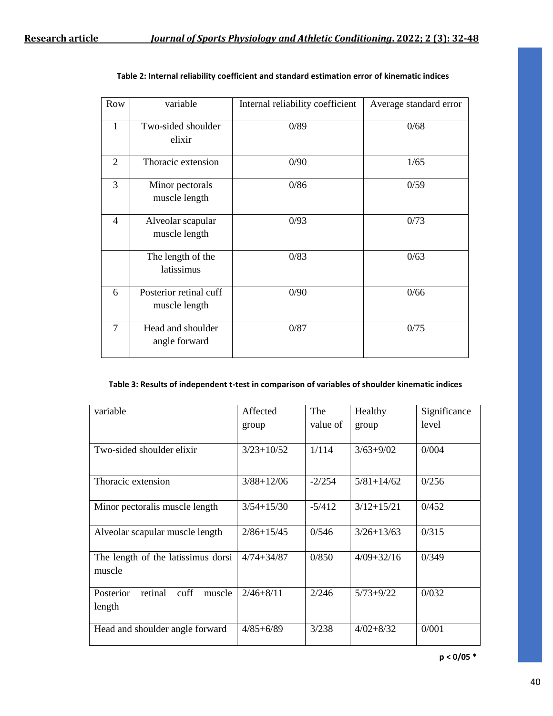| Row            | variable                                | Internal reliability coefficient | Average standard error |
|----------------|-----------------------------------------|----------------------------------|------------------------|
| 1              | Two-sided shoulder<br>elixir            | 0/89                             | 0/68                   |
| $\overline{2}$ | Thoracic extension                      | 0/90                             | 1/65                   |
| 3              | Minor pectorals<br>muscle length        | 0/86                             | 0/59                   |
| $\overline{4}$ | Alveolar scapular<br>muscle length      | 0/93                             | 0/73                   |
|                | The length of the<br>latissimus         | 0/83                             | 0/63                   |
| 6              | Posterior retinal cuff<br>muscle length | 0/90                             | 0/66                   |
| 7              | Head and shoulder<br>angle forward      | 0/87                             | 0/75                   |

| Table 2: Internal reliability coefficient and standard estimation error of kinematic indices |  |
|----------------------------------------------------------------------------------------------|--|
|----------------------------------------------------------------------------------------------|--|

#### **Table 3: Results of independent t-test in comparison of variables of shoulder kinematic indices**

| variable                                         | Affected       | The      | Healthy        | Significance |
|--------------------------------------------------|----------------|----------|----------------|--------------|
|                                                  | group          | value of | group          | level        |
| Two-sided shoulder elixir                        | $3/23+10/52$   | 1/114    | $3/63 + 9/02$  | 0/004        |
|                                                  |                |          |                |              |
| Thoracic extension                               | $3/88 + 12/06$ | $-2/254$ | $5/81 + 14/62$ | 0/256        |
| Minor pectoralis muscle length                   | $3/54 + 15/30$ | $-5/412$ | $3/12+15/21$   | 0/452        |
| Alveolar scapular muscle length                  | $2/86 + 15/45$ | 0/546    | $3/26 + 13/63$ | 0/315        |
| The length of the latissimus dorsi<br>muscle     | $4/74 + 34/87$ | 0/850    | $4/09 + 32/16$ | 0/349        |
| Posterior<br>retinal<br>cuff<br>muscle<br>length | $2/46 + 8/11$  | 2/246    | $5/73+9/22$    | 0/032        |
| Head and shoulder angle forward                  | $4/85 + 6/89$  | 3/238    | $4/02 + 8/32$  | 0/001        |

**p < 0/05 \***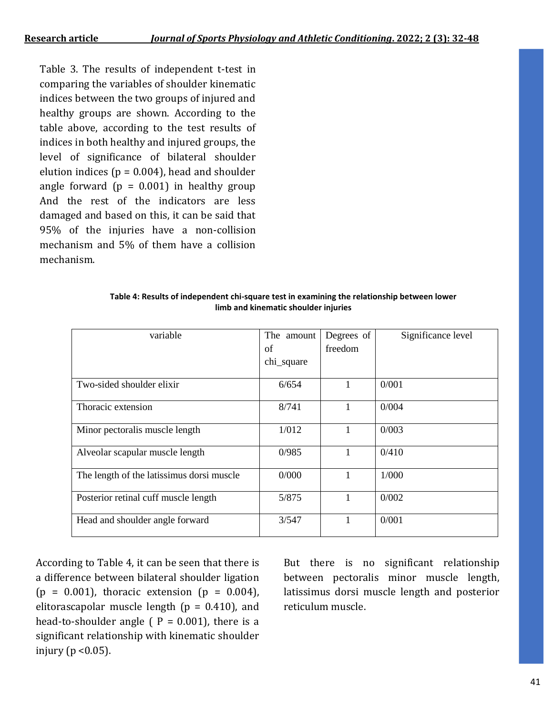Table 3. The results of independent t-test in comparing the variables of shoulder kinematic indices between the two groups of injured and healthy groups are shown. According to the table above, according to the test results of indices in both healthy and injured groups, the level of significance of bilateral shoulder elution indices ( $p = 0.004$ ), head and shoulder angle forward  $(p = 0.001)$  in healthy group And the rest of the indicators are less damaged and based on this, it can be said that 95% of the injuries have a non-collision mechanism and 5% of them have a collision mechanism.

| variable                                  | The amount | Degrees of | Significance level |
|-------------------------------------------|------------|------------|--------------------|
|                                           | of         | freedom    |                    |
|                                           | chi_square |            |                    |
| Two-sided shoulder elixir                 | 6/654      | 1          | 0/001              |
| Thoracic extension                        | 8/741      | 1          | 0/004              |
| Minor pectoralis muscle length            | 1/012      | 1          | 0/003              |
| Alveolar scapular muscle length           | 0/985      | 1          | 0/410              |
| The length of the latissimus dorsi muscle | 0/000      | 1          | 1/000              |
| Posterior retinal cuff muscle length      | 5/875      | 1          | 0/002              |
| Head and shoulder angle forward           | 3/547      |            | 0/001              |

| Table 4: Results of independent chi-square test in examining the relationship between lower |  |  |  |  |
|---------------------------------------------------------------------------------------------|--|--|--|--|
| limb and kinematic shoulder injuries                                                        |  |  |  |  |

According to Table 4, it can be seen that there is a difference between bilateral shoulder ligation  $(p = 0.001)$ , thoracic extension  $(p = 0.004)$ , elitorascapolar muscle length ( $p = 0.410$ ), and head-to-shoulder angle ( $P = 0.001$ ), there is a significant relationship with kinematic shoulder injury ( $p < 0.05$ ).

But there is no significant relationship between pectoralis minor muscle length, latissimus dorsi muscle length and posterior reticulum muscle.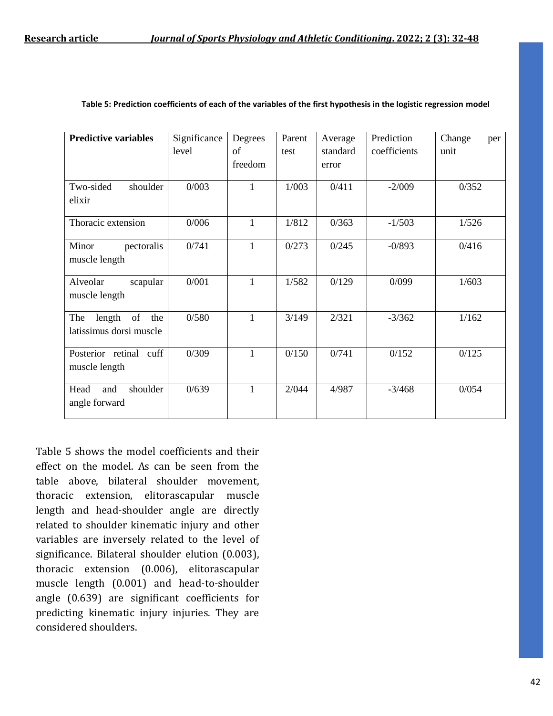| <b>Predictive variables</b>                           | Significance<br>level | Degrees<br>of<br>freedom | Parent<br>test | Average<br>standard<br>error | Prediction<br>coefficients | Change<br>per<br>unit |
|-------------------------------------------------------|-----------------------|--------------------------|----------------|------------------------------|----------------------------|-----------------------|
| Two-sided<br>shoulder<br>elixir                       | 0/003                 | 1                        | 1/003          | 0/411                        | $-2/009$                   | 0/352                 |
| Thoracic extension                                    | 0/006                 | $\mathbf{1}$             | 1/812          | 0/363                        | $-1/503$                   | 1/526                 |
| Minor<br>pectoralis<br>muscle length                  | 0/741                 | $\mathbf{1}$             | 0/273          | 0/245                        | $-0/893$                   | 0/416                 |
| Alveolar<br>scapular<br>muscle length                 | 0/001                 | $\mathbf{1}$             | 1/582          | 0/129                        | 0/099                      | 1/603                 |
| The<br>length<br>of<br>the<br>latissimus dorsi muscle | 0/580                 | $\mathbf{1}$             | 3/149          | 2/321                        | $-3/362$                   | 1/162                 |
| Posterior retinal cuff<br>muscle length               | 0/309                 | $\mathbf{1}$             | 0/150          | 0/741                        | 0/152                      | 0/125                 |
| shoulder<br>Head<br>and<br>angle forward              | 0/639                 | 1                        | 2/044          | 4/987                        | $-3/468$                   | 0/054                 |

**Table 5: Prediction coefficients of each of the variables of the first hypothesis in the logistic regression model**

Table 5 shows the model coefficients and their effect on the model. As can be seen from the table above, bilateral shoulder movement, thoracic extension, elitorascapular muscle length and head-shoulder angle are directly related to shoulder kinematic injury and other variables are inversely related to the level of significance. Bilateral shoulder elution (0.003), thoracic extension (0.006), elitorascapular muscle length (0.001) and head-to-shoulder angle (0.639) are significant coefficients for predicting kinematic injury injuries. They are considered shoulders.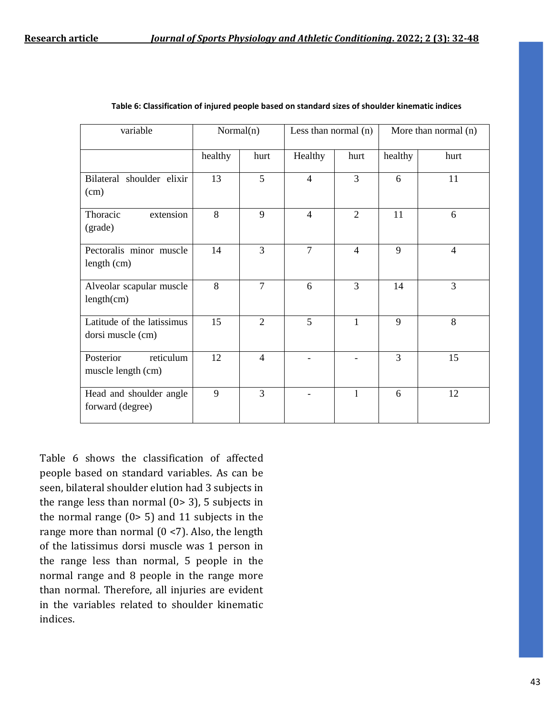| variable                                        | Normal(n) |                | Less than normal $(n)$ |                | More than normal (n) |                |
|-------------------------------------------------|-----------|----------------|------------------------|----------------|----------------------|----------------|
|                                                 | healthy   | hurt           | Healthy                | hurt           | healthy              | hurt           |
| Bilateral shoulder elixir<br>(cm)               | 13        | 5              | $\overline{4}$         | $\overline{3}$ | 6                    | 11             |
| Thoracic<br>extension<br>(grade)                | 8         | 9              | $\overline{4}$         | $\overline{2}$ | 11                   | 6              |
| Pectoralis minor muscle<br>length (cm)          | 14        | $\overline{3}$ | $\overline{7}$         | $\overline{4}$ | 9                    | $\overline{4}$ |
| Alveolar scapular muscle<br>length(cm)          | 8         | $\overline{7}$ | 6                      | $\overline{3}$ | 14                   | 3              |
| Latitude of the latissimus<br>dorsi muscle (cm) | 15        | $\overline{2}$ | 5                      | 1              | 9                    | 8              |
| reticulum<br>Posterior<br>muscle length (cm)    | 12        | $\overline{4}$ |                        |                | 3                    | 15             |
| Head and shoulder angle<br>forward (degree)     | 9         | $\overline{3}$ |                        | $\mathbf{1}$   | 6                    | 12             |

Table 6 shows the classification of affected people based on standard variables. As can be seen, bilateral shoulder elution had 3 subjects in the range less than normal  $(0> 3)$ , 5 subjects in the normal range  $(0> 5)$  and 11 subjects in the range more than normal  $(0 \le 7)$ . Also, the length of the latissimus dorsi muscle was 1 person in the range less than normal, 5 people in the normal range and 8 people in the range more than normal. Therefore, all injuries are evident in the variables related to shoulder kinematic indices.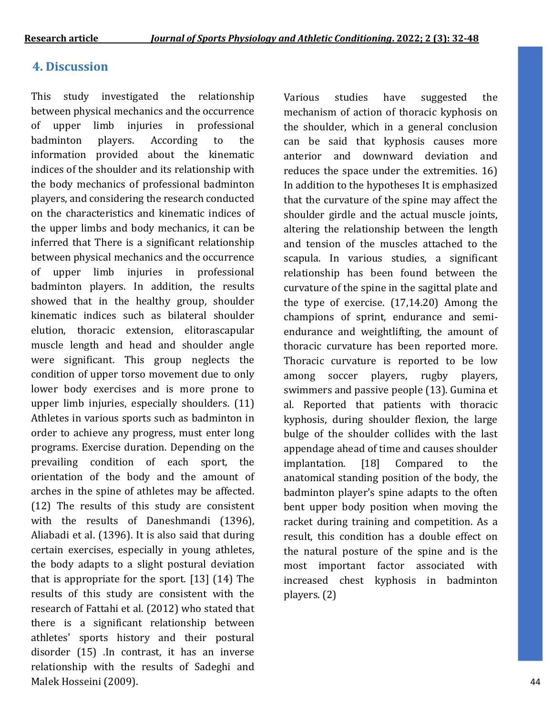## **4. Discussion**

This study investigated the relationship between physical mechanics and the occurrence of upper limb injuries in professional badminton players. According to the information provided about the kinematic indices of the shoulder and its relationship with the body mechanics of professional badminton players, and considering the research conducted on the characteristics and kinematic indices of the upper limbs and body mechanics, it can be inferred that There is a significant relationship between physical mechanics and the occurrence of upper limb injuries in professional badminton players. In addition, the results showed that in the healthy group, shoulder kinematic indices such as bilateral shoulder elution, thoracic extension, elitorascapular muscle length and head and shoulder angle were significant. This group neglects the condition of upper torso movement due to only lower body exercises and is more prone to upper limb injuries, especially shoulders. (11) Athletes in various sports such as badminton in order to achieve any progress, must enter long programs. Exercise duration. Depending on the prevailing condition of each sport, the orientation of the body and the amount of arches in the spine of athletes may be affected. (12) The results of this study are consistent with the results of Daneshmandi (1396), Aliabadi et al. (1396). It is also said that during certain exercises, especially in young athletes, the body adapts to a slight postural deviation that is appropriate for the sport. [13] (14) The results of this study are consistent with the research of Fattahi et al. (2012) who stated that there is a significant relationship between athletes' sports history and their postural disorder (15) .In contrast, it has an inverse relationship with the results of Sadeghi and Malek Hosseini (2009).

Various studies have suggested the mechanism of action of thoracic kyphosis on the shoulder, which in a general conclusion can be said that kyphosis causes more anterior and downward deviation and reduces the space under the extremities. 16) In addition to the hypotheses It is emphasized that the curvature of the spine may affect the shoulder girdle and the actual muscle joints, altering the relationship between the length and tension of the muscles attached to the scapula. In various studies, a significant relationship has been found between the curvature of the spine in the sagittal plate and the type of exercise. (17,14.20) Among the champions of sprint, endurance and semiendurance and weightlifting, the amount of thoracic curvature has been reported more. Thoracic curvature is reported to be low among soccer players, rugby players, swimmers and passive people (13). Gumina et al. Reported that patients with thoracic kyphosis, during shoulder flexion, the large bulge of the shoulder collides with the last appendage ahead of time and causes shoulder implantation. [18] Compared to the anatomical standing position of the body, the badminton player's spine adapts to the often bent upper body position when moving the racket during training and competition. As a result, this condition has a double effect on the natural posture of the spine and is the most important factor associated with increased chest kyphosis in badminton players. (2)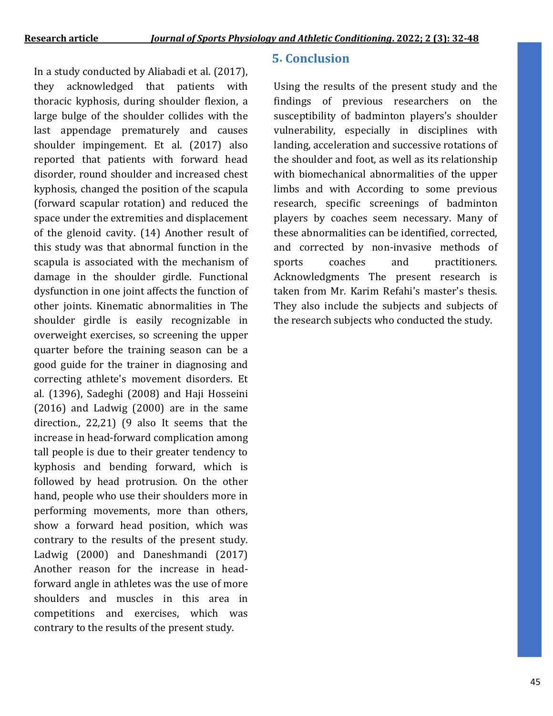In a study conducted by Aliabadi et al. (2017), they acknowledged that patients with thoracic kyphosis, during shoulder flexion, a large bulge of the shoulder collides with the last appendage prematurely and causes shoulder impingement. Et al. (2017) also reported that patients with forward head disorder, round shoulder and increased chest kyphosis, changed the position of the scapula (forward scapular rotation) and reduced the space under the extremities and displacement of the glenoid cavity. (14) Another result of this study was that abnormal function in the scapula is associated with the mechanism of damage in the shoulder girdle. Functional dysfunction in one joint affects the function of other joints. Kinematic abnormalities in The shoulder girdle is easily recognizable in overweight exercises, so screening the upper quarter before the training season can be a good guide for the trainer in diagnosing and correcting athlete's movement disorders. Et al. (1396), Sadeghi (2008) and Haji Hosseini (2016) and Ladwig (2000) are in the same direction., 22,21) (9 also It seems that the increase in head-forward complication among tall people is due to their greater tendency to kyphosis and bending forward, which is followed by head protrusion. On the other hand, people who use their shoulders more in performing movements, more than others, show a forward head position, which was contrary to the results of the present study. Ladwig (2000) and Daneshmandi (2017) Another reason for the increase in headforward angle in athletes was the use of more shoulders and muscles in this area in competitions and exercises, which was contrary to the results of the present study.

### **5. Conclusion**

Using the results of the present study and the findings of previous researchers on the susceptibility of badminton players's shoulder vulnerability, especially in disciplines with landing, acceleration and successive rotations of the shoulder and foot, as well as its relationship with biomechanical abnormalities of the upper limbs and with According to some previous research, specific screenings of badminton players by coaches seem necessary. Many of these abnormalities can be identified, corrected, and corrected by non-invasive methods of sports coaches and practitioners. Acknowledgments The present research is taken from Mr. Karim Refahi's master's thesis. They also include the subjects and subjects of the research subjects who conducted the study.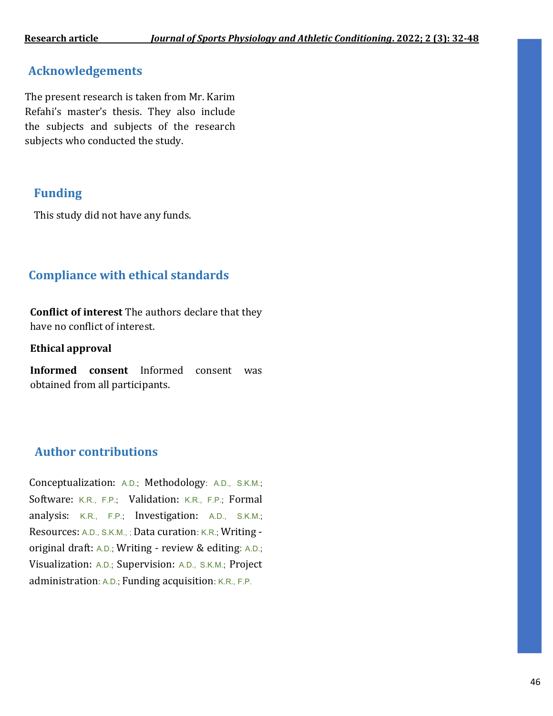## **Acknowledgements**

The present research is taken from Mr. Karim Refahi's master's thesis. They also include the subjects and subjects of the research subjects who conducted the study.

## **Funding**

This study did not have any funds.

# **Compliance with ethical standards**

**Conflict of interest** The authors declare that they have no conflict of interest.

**Ethical approval**

**Informed consent** Informed consent was obtained from all participants.

## **Author contributions**

Conceptualization: A.D.; Methodology: A.D., S.K.M.; Software: K.R., F.P.; Validation: K.R., F.P.; Formal analysis: K.R., F.P.; Investigation: A.D., S.K.M.; Resources: A.D., S.K.M., ; Data curation: K.R.; Writing original draft: A.D.; Writing - review & editing: A.D.; Visualization: A.D.; Supervision: A.D., S.K.M.; Project administration: A.D.; Funding acquisition: K.R., F.P.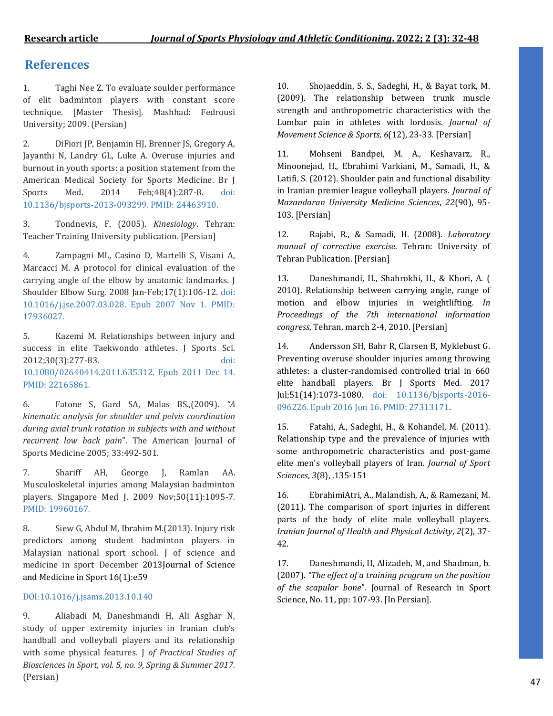### **References**

1. Taghi Nee Z. To evaluate soulder performance of elit badminton players with constant score technique. [Master Thesis]. Mashhad: Fedrousi University; 2009. (Persian)

2. DiFiori JP, Benjamin HJ, Brenner JS, Gregory A, Jayanthi N, Landry GL, Luke A. Overuse injuries and burnout in youth sports: a position statement from the American Medical Society for Sports Medicine. Br J Sports Med. 2014 Feb;48(4):287-8. doi: 10.1136/bjsports-2013-093299. PMID: 24463910.

3. Tondnevis, F. (2005). *Kinesiology*. Tehran: Teacher Training University publication. [Persian]

4. Zampagni ML, Casino D, Martelli S, Visani A, Marcacci M. A protocol for clinical evaluation of the carrying angle of the elbow by anatomic landmarks. J Shoulder Elbow Surg. 2008 Jan-Feb;17(1):106-12. doi: 10.1016/j.jse.2007.03.028. Epub 2007 Nov 1. PMID: 17936027.

5. Kazemi M. Relationships between injury and success in elite Taekwondo athletes. J Sports Sci. 2012;30(3):277-83. doi: 10.1080/02640414.2011.635312. Epub 2011 Dec 14. PMID: 22165861.

6. Fatone S, Gard SA, Malas BS.,(2009). *"A kinematic analysis for shoulder and pelvis coordination during axial trunk rotation in subjects with and without recurrent low back pain*". The American Journal of Sports Medicine 2005; 33:492-501.

7. Shariff AH, George J, Ramlan AA. Musculoskeletal injuries among Malaysian badminton players. Singapore Med J. 2009 Nov;50(11):1095-7. PMID: 19960167.

8. Siew G, Abdul M, Ibrahim M.(2013). Injury risk predictors among student badminton players in Malaysian national sport school. J of science and medicine in sport December 201[3Journal of Science](https://www.researchgate.net/journal/Journal-of-Science-and-Medicine-in-Sport-1440-2440)  [and Medicine in Sport](https://www.researchgate.net/journal/Journal-of-Science-and-Medicine-in-Sport-1440-2440) 16(1):e59

#### DOI[:10.1016/j.jsams.2013.10.140](http://dx.doi.org/10.1016/j.jsams.2013.10.140)

9. Aliabadi M, Daneshmandi H, Ali Asghar N, study of upper extremity injuries in Iranian club's handball and volleyball players and its relationship with some physical features. J *of Practical Studies of Biosciences in Sport, vol. 5, no. 9, Spring & Summer 2017*. (Persian)

10. Shojaeddin, S. S., Sadeghi, H., & Bayat tork, M. (2009). The relationship between trunk muscle strength and anthropometric characteristics with the Lumbar pain in athletes with lordosis. *Journal of Movement Science & Sports*, *6*(12), 23-33. [Persian]

11. Mohseni Bandpei, M. A., Keshavarz, R., Minoonejad, H., Ebrahimi Varkiani, M., Samadi, H., & Latifi, S. (2012). Shoulder pain and functional disability in Iranian premier league volleyball players. *Journal of Mazandaran University Medicine Sciences*, *22*(90), 95- 103. [Persian]

12. Rajabi, R., & Samadi, H. (2008). *Laboratory manual of corrective exercise.* Tehran: University of Tehran Publication. [Persian]

13. Daneshmandi, H., Shahrokhi, H., & Khori, A. ( 2010). Relationship between carrying angle, range of motion and elbow injuries in weightlifting. *In Proceedings of the 7th international information congress*, Tehran, march 2-4, 2010. [Persian]

14. Andersson SH, Bahr R, Clarsen B, Myklebust G. Preventing overuse shoulder injuries among throwing athletes: a cluster-randomised controlled trial in 660 elite handball players. Br J Sports Med. 2017 Jul;51(14):1073-1080. doi: 10.1136/bjsports-2016- 096226. Epub 2016 Jun 16. PMID: 27313171.

15. Fatahi, A., Sadeghi, H., & Kohandel, M. (2011). Relationship type and the prevalence of injuries with some anthropometric characteristics and post-game elite men's volleyball players of Iran. *Journal of Sport Sciences*, *3*(8), .135-151

16. EbrahimiAtri, A., Malandish, A., & Ramezani, M. (2011). The comparison of sport injuries in different parts of the body of elite male volleyball players. *Iranian Journal of Health and Physical Activity*, *2*(2), 37- 42.

17. Daneshmandi, H, Alizadeh, M, and Shadman, b. (2007). *"The effect of a training program on the position of the scapular bone*". Journal of Research in Sport Science, No. 11, pp: 107-93. [In Persian].